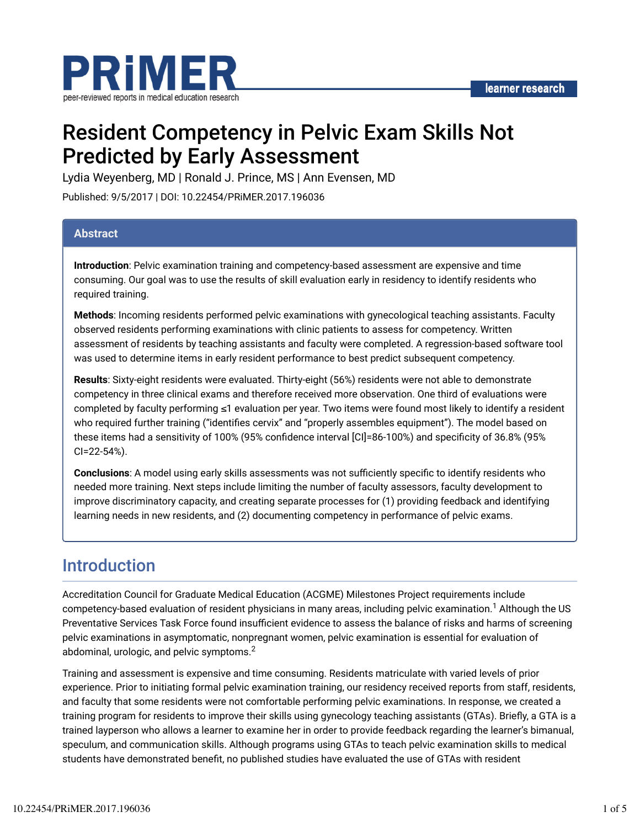

# Resident Competency in Pelvic Exam Skills Not Predicted by Early Assessment

Lydia Weyenberg, MD | Ronald J. Prince, MS | Ann Evensen, MD

Published: 9/5/2017 | DOI: 10.22454/PRiMER.2017.196036

#### **Abstract**

**Introduction**: Pelvic examination training and competency-based assessment are expensive and time consuming. Our goal was to use the results of skill evaluation early in residency to identify residents who required training.

**Methods**: Incoming residents performed pelvic examinations with gynecological teaching assistants. Faculty observed residents performing examinations with clinic patients to assess for competency. Written assessment of residents by teaching assistants and faculty were completed. A regression-based software tool was used to determine items in early resident performance to best predict subsequent competency.

**Results**: Sixty-eight residents were evaluated. Thirty-eight (56%) residents were not able to demonstrate competency in three clinical exams and therefore received more observation. One third of evaluations were completed by faculty performing ≤1 evaluation per year. Two items were found most likely to identify a resident who required further training ("identifies cervix" and "properly assembles equipment"). The model based on these items had a sensitivity of 100% (95% confidence interval [CI]=86-100%) and specificity of 36.8% (95% CI=22-54%).

**Conclusions**: A model using early skills assessments was not sufficiently specific to identify residents who needed more training. Next steps include limiting the number of faculty assessors, faculty development to improve discriminatory capacity, and creating separate processes for (1) providing feedback and identifying learning needs in new residents, and (2) documenting competency in performance of pelvic exams.

### Introduction

Accreditation Council for Graduate Medical Education (ACGME) Milestones Project requirements include competency-based evaluation of resident physicians in many areas, including pelvic examination.<sup>1</sup> Although the US Preventative Services Task Force found insufficient evidence to assess the balance of risks and harms of screening pelvic examinations in asymptomatic, nonpregnant women, pelvic examination is essential for evaluation of abdominal, urologic, and pelvic symptoms. $^2$ 

Training and assessment is expensive and time consuming. Residents matriculate with varied levels of prior experience. Prior to initiating formal pelvic examination training, our residency received reports from staff, residents, and faculty that some residents were not comfortable performing pelvic examinations. In response, we created a training program for residents to improve their skills using gynecology teaching assistants (GTAs). Briefly, a GTA is a trained layperson who allows a learner to examine her in order to provide feedback regarding the learner's bimanual, speculum, and communication skills. Although programs using GTAs to teach pelvic examination skills to medical students have demonstrated benefit, no published studies have evaluated the use of GTAs with resident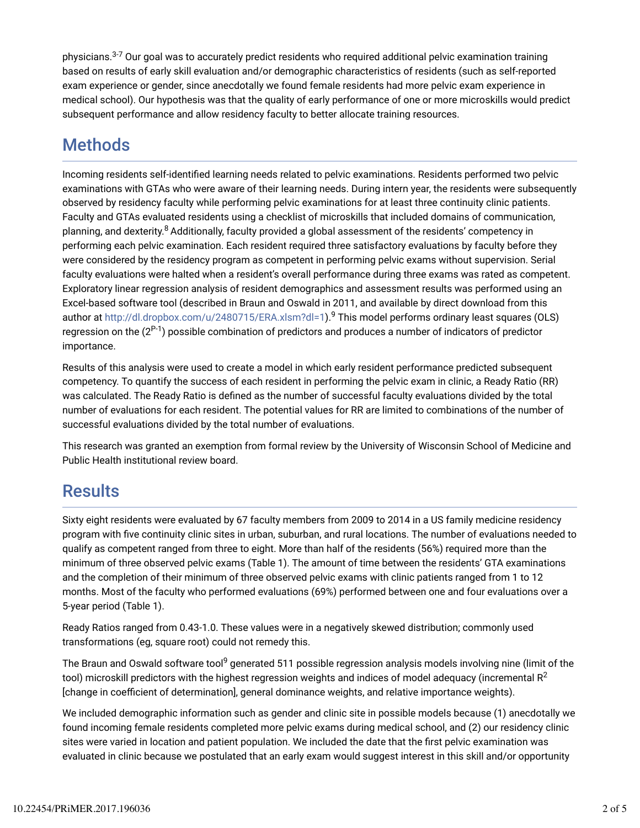physicians.<sup>3-7</sup> Our goal was to accurately predict residents who required additional pelvic examination training based on results of early skill evaluation and/or demographic characteristics of residents (such as self-reported exam experience or gender, since anecdotally we found female residents had more pelvic exam experience in medical school). Our hypothesis was that the quality of early performance of one or more microskills would predict subsequent performance and allow residency faculty to better allocate training resources.

## **Methods**

Incoming residents self-identified learning needs related to pelvic examinations. Residents performed two pelvic examinations with GTAs who were aware of their learning needs. During intern year, the residents were subsequently observed by residency faculty while performing pelvic examinations for at least three continuity clinic patients. Faculty and GTAs evaluated residents using a checklist of microskills that included domains of communication, planning, and dexterity.<sup>8</sup> Additionally, faculty provided a global assessment of the residents' competency in performing each pelvic examination. Each resident required three satisfactory evaluations by faculty before they were considered by the residency program as competent in performing pelvic exams without supervision. Serial faculty evaluations were halted when a resident's overall performance during three exams was rated as competent. Exploratory linear regression analysis of resident demographics and assessment results was performed using an Excel-based software tool (described in Braun and Oswald in 2011, and available by direct download from this author at http://dl.dropbox.com/u/2480715/ERA.xlsm?dl=1**).<sup>9</sup> This model performs ordinary least squares (OLS)** regression on the (2<sup>P-1</sup>) possible combination of predictors and produces a number of indicators of predictor importance.

Results of this analysis were used to create a model in which early resident performance predicted subsequent competency. To quantify the success of each resident in performing the pelvic exam in clinic, a Ready Ratio (RR) was calculated. The Ready Ratio is defined as the number of successful faculty evaluations divided by the total number of evaluations for each resident. The potential values for RR are limited to combinations of the number of successful evaluations divided by the total number of evaluations.

This research was granted an exemption from formal review by the University of Wisconsin School of Medicine and Public Health institutional review board.

### **Results**

Sixty eight residents were evaluated by 67 faculty members from 2009 to 2014 in a US family medicine residency program with five continuity clinic sites in urban, suburban, and rural locations. The number of evaluations needed to qualify as competent ranged from three to eight. More than half of the residents (56%) required more than the minimum of three observed pelvic exams (Table 1). The amount of time between the residents' GTA examinations and the completion of their minimum of three observed pelvic exams with clinic patients ranged from 1 to 12 months. Most of the faculty who performed evaluations (69%) performed between one and four evaluations over a 5-year period (Table 1).

Ready Ratios ranged from 0.43-1.0. These values were in a negatively skewed distribution; commonly used transformations (eg, square root) could not remedy this.

The Braun and Oswald software tool<sup>9</sup> generated 511 possible regression analysis models involving nine (limit of the tool) microskill predictors with the highest regression weights and indices of model adequacy (incremental R $^2$ [change in coefficient of determination], general dominance weights, and relative importance weights).

We included demographic information such as gender and clinic site in possible models because (1) anecdotally we found incoming female residents completed more pelvic exams during medical school, and (2) our residency clinic sites were varied in location and patient population. We included the date that the first pelvic examination was evaluated in clinic because we postulated that an early exam would suggest interest in this skill and/or opportunity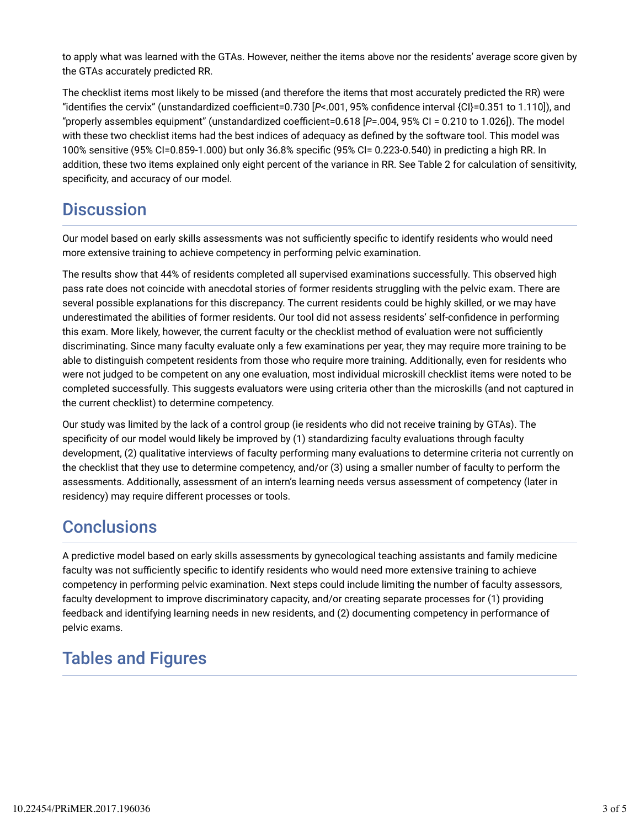to apply what was learned with the GTAs. However, neither the items above nor the residents' average score given by the GTAs accurately predicted RR.

The checklist items most likely to be missed (and therefore the items that most accurately predicted the RR) were "identifies the cervix" (unstandardized coefficient=0.730 [*P*<.001, 95% confidence interval {CI}=0.351 to 1.110]), and "properly assembles equipment" (unstandardized coefficient=0.618 [*P*=.004, 95% CI = 0.210 to 1.026]). The model with these two checklist items had the best indices of adequacy as defined by the software tool. This model was 100% sensitive (95% CI=0.859-1.000) but only 36.8% specific (95% CI= 0.223-0.540) in predicting a high RR. In addition, these two items explained only eight percent of the variance in RR. See Table 2 for calculation of sensitivity, specificity, and accuracy of our model.

## **Discussion**

Our model based on early skills assessments was not sufficiently specific to identify residents who would need more extensive training to achieve competency in performing pelvic examination.

The results show that 44% of residents completed all supervised examinations successfully. This observed high pass rate does not coincide with anecdotal stories of former residents struggling with the pelvic exam. There are several possible explanations for this discrepancy. The current residents could be highly skilled, or we may have underestimated the abilities of former residents. Our tool did not assess residents' self-confidence in performing this exam. More likely, however, the current faculty or the checklist method of evaluation were not sufficiently discriminating. Since many faculty evaluate only a few examinations per year, they may require more training to be able to distinguish competent residents from those who require more training. Additionally, even for residents who were not judged to be competent on any one evaluation, most individual microskill checklist items were noted to be completed successfully. This suggests evaluators were using criteria other than the microskills (and not captured in the current checklist) to determine competency.

Our study was limited by the lack of a control group (ie residents who did not receive training by GTAs). The specificity of our model would likely be improved by (1) standardizing faculty evaluations through faculty development, (2) qualitative interviews of faculty performing many evaluations to determine criteria not currently on the checklist that they use to determine competency, and/or (3) using a smaller number of faculty to perform the assessments. Additionally, assessment of an intern's learning needs versus assessment of competency (later in residency) may require different processes or tools.

### **Conclusions**

A predictive model based on early skills assessments by gynecological teaching assistants and family medicine faculty was not sufficiently specific to identify residents who would need more extensive training to achieve competency in performing pelvic examination. Next steps could include limiting the number of faculty assessors, faculty development to improve discriminatory capacity, and/or creating separate processes for (1) providing feedback and identifying learning needs in new residents, and (2) documenting competency in performance of pelvic exams.

## Tables and Figures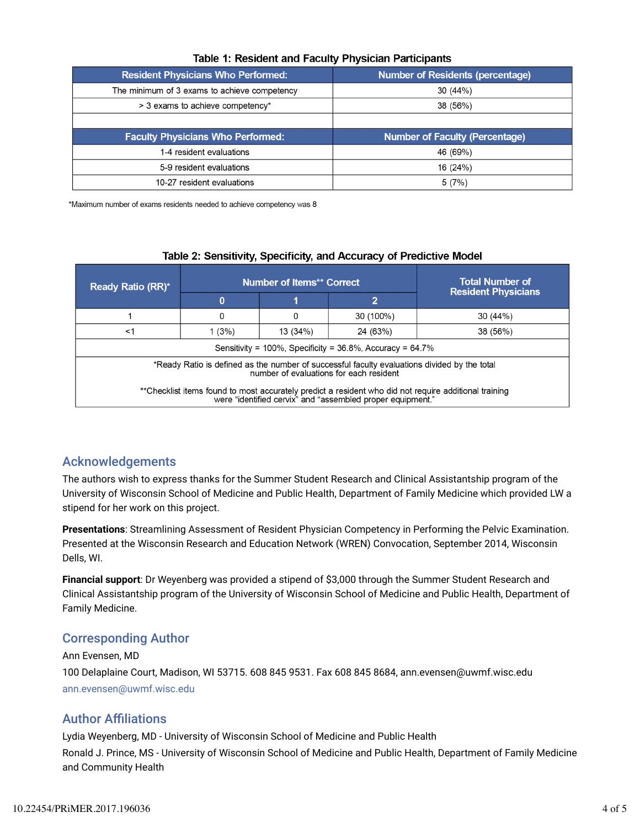| <b>Resident Physicians Who Performed:</b>    | <b>Number of Residents (percentage)</b> |  |  |
|----------------------------------------------|-----------------------------------------|--|--|
| The minimum of 3 exams to achieve competency | 30 (44%)                                |  |  |
| > 3 exams to achieve competency*             | 38 (56%)                                |  |  |
|                                              |                                         |  |  |
|                                              |                                         |  |  |
| <b>Faculty Physicians Who Performed:</b>     | <b>Number of Faculty (Percentage)</b>   |  |  |
| 1-4 resident evaluations                     | 46 (69%)                                |  |  |
| 5-9 resident evaluations                     | 16 (24%)                                |  |  |

#### Table 1: Resident and Faculty Physician Participants

\*Maximum number of exams residents needed to achieve competency was 8

|  |  |  | Table 2: Sensitivity, Specificity, and Accuracy of Predictive Model |  |
|--|--|--|---------------------------------------------------------------------|--|
|  |  |  |                                                                     |  |
|  |  |  |                                                                     |  |

| <b>Ready Ratio (RR)*</b>                                                                                                                                            |       | <b>Number of Items** Correct</b> | <b>Total Number of</b><br><b>Resident Physicians</b> |          |  |  |  |
|---------------------------------------------------------------------------------------------------------------------------------------------------------------------|-------|----------------------------------|------------------------------------------------------|----------|--|--|--|
|                                                                                                                                                                     | 0     |                                  |                                                      |          |  |  |  |
|                                                                                                                                                                     | 0     |                                  | 30 (100%)                                            | 30(44%)  |  |  |  |
| $<$ 1                                                                                                                                                               | 1(3%) | 13(34%)                          | 24 (63%)                                             | 38 (56%) |  |  |  |
| Sensitivity = $100\%$ , Specificity = $36.8\%$ , Accuracy = $64.7\%$                                                                                                |       |                                  |                                                      |          |  |  |  |
| *Ready Ratio is defined as the number of successful faculty evaluations divided by the total<br>number of evaluations for each resident                             |       |                                  |                                                      |          |  |  |  |
| **Checklist items found to most accurately predict a resident who did not require additional training<br>were "identified cervix" and "assembled proper equipment." |       |                                  |                                                      |          |  |  |  |

### Acknowledgements

The authors wish to express thanks for the Summer Student Research and Clinical Assistantship program of the University of Wisconsin School of Medicine and Public Health, Department of Family Medicine which provided LW a stipend for her work on this project.

**Presentations**: Streamlining Assessment of Resident Physician Competency in Performing the Pelvic Examination. Presented at the Wisconsin Research and Education Network (WREN) Convocation, September 2014, Wisconsin Dells, WI.

**Financial support**: Dr Weyenberg was provided a stipend of \$3,000 through the Summer Student Research and Clinical Assistantship program of the University of Wisconsin School of Medicine and Public Health, Department of Family Medicine.

### Corresponding Author

Ann Evensen, MD 100 Delaplaine Court, Madison, WI 53715. 608 845 9531. Fax 608 845 8684, ann.evensen@uwmf.wisc.edu ann.evensen@uwmf.wisc.edu

### **Author Affiliations**

Lydia Weyenberg, MD - University of Wisconsin School of Medicine and Public Health Ronald J. Prince, MS - University of Wisconsin School of Medicine and Public Health, Department of Family Medicine and Community Health